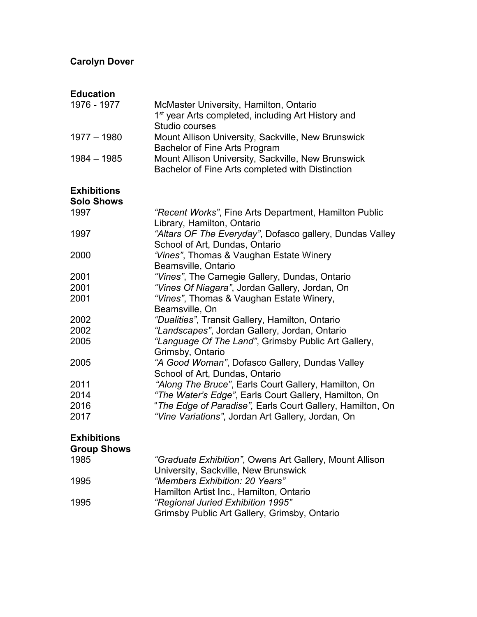### **Carolyn Dover**

#### **Education** McMaster University, Hamilton, Ontario 1<sup>st</sup> year Arts completed, including Art History and Studio courses 1977 – 1980 Mount Allison University, Sackville, New Brunswick Bachelor of Fine Arts Program 1984 – 1985 Mount Allison University, Sackville, New Brunswick Bachelor of Fine Arts completed with Distinction

## **Exhibitions**

| <b>Solo Shows</b> |                                                           |
|-------------------|-----------------------------------------------------------|
| 1997              | "Recent Works", Fine Arts Department, Hamilton Public     |
|                   | Library, Hamilton, Ontario                                |
| 1997              | "Altars OF The Everyday", Dofasco gallery, Dundas Valley  |
|                   | School of Art, Dundas, Ontario                            |
| 2000              | 'Vines", Thomas & Vaughan Estate Winery                   |
|                   | Beamsville, Ontario                                       |
| 2001              | "Vines", The Carnegie Gallery, Dundas, Ontario            |
| 2001              | "Vines Of Niagara", Jordan Gallery, Jordan, On            |
| 2001              | "Vines", Thomas & Vaughan Estate Winery,                  |
|                   | Beamsville, On                                            |
| 2002              | "Dualities", Transit Gallery, Hamilton, Ontario           |
| 2002              | "Landscapes", Jordan Gallery, Jordan, Ontario             |
| 2005              | "Language Of The Land", Grimsby Public Art Gallery,       |
|                   | Grimsby, Ontario                                          |
| 2005              | "A Good Woman", Dofasco Gallery, Dundas Valley            |
|                   | School of Art, Dundas, Ontario                            |
| 2011              | "Along The Bruce", Earls Court Gallery, Hamilton, On      |
| 2014              | "The Water's Edge", Earls Court Gallery, Hamilton, On     |
| 2016              | "The Edge of Paradise", Earls Court Gallery, Hamilton, On |
| 2017              | "Vine Variations", Jordan Art Gallery, Jordan, On         |

### **Exhibitions**

**Group Shows**

| 1985 | "Graduate Exhibition", Owens Art Gallery, Mount Allison |
|------|---------------------------------------------------------|
|      | University, Sackville, New Brunswick                    |
| 1995 | "Members Exhibition: 20 Years"                          |
|      | Hamilton Artist Inc., Hamilton, Ontario                 |
| 1995 | "Regional Juried Exhibition 1995"                       |
|      | Grimsby Public Art Gallery, Grimsby, Ontario            |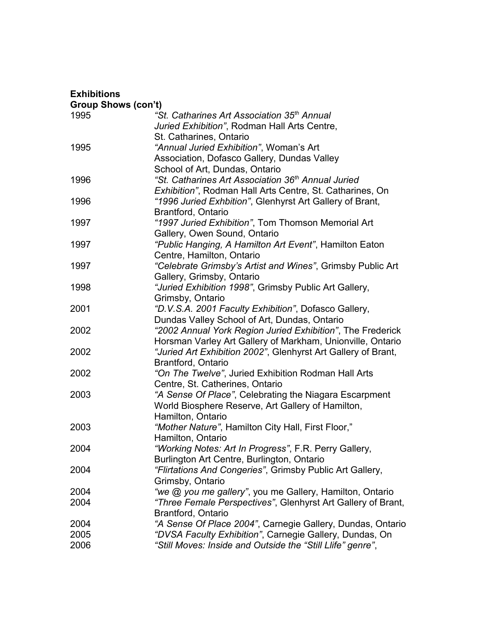#### **Exhibitions Group Shows (con't)** 1995 *"St. Catharines Art Association 35th Annual Juried Exhibition"*, Rodman Hall Arts Centre, St. Catharines, Ontario 1995 *"Annual Juried Exhibition"*, Woman's Art Association, Dofasco Gallery, Dundas Valley School of Art, Dundas, Ontario 1996 *"St. Catharines Art Association 36th Annual Juried Exhibition"*, Rodman Hall Arts Centre, St. Catharines, On 1996 *"1996 Juried Exhbition"*, Glenhyrst Art Gallery of Brant, Brantford, Ontario 1997 *"1997 Juried Exhibition"*, Tom Thomson Memorial Art Gallery, Owen Sound, Ontario 1997 *"Public Hanging, A Hamilton Art Event"*, Hamilton Eaton Centre, Hamilton, Ontario 1997 *"Celebrate Grimsby's Artist and Wines"*, Grimsby Public Art Gallery, Grimsby, Ontario 1998 *"Juried Exhibition 1998"*, Grimsby Public Art Gallery, Grimsby, Ontario 2001 *"D.V.S.A. 2001 Faculty Exhibition"*, Dofasco Gallery, Dundas Valley School of Art, Dundas, Ontario 2002 *"2002 Annual York Region Juried Exhibition"*, The Frederick Horsman Varley Art Gallery of Markham, Unionville, Ontario 2002 *"Juried Art Exhibition 2002"*, Glenhyrst Art Gallery of Brant, Brantford, Ontario 2002 *"On The Twelve"*, Juried Exhibition Rodman Hall Arts Centre, St. Catherines, Ontario 2003 *"A Sense Of Place"*, Celebrating the Niagara Escarpment World Biosphere Reserve, Art Gallery of Hamilton, Hamilton, Ontario 2003 *"Mother Nature"*, Hamilton City Hall, First Floor," Hamilton, Ontario 2004 *"Working Notes: Art In Progress"*, F.R. Perry Gallery, Burlington Art Centre, Burlington, Ontario 2004 *"Flirtations And Congeries"*, Grimsby Public Art Gallery, Grimsby, Ontario 2004 *"we @ you me gallery"*, you me Gallery, Hamilton, Ontario 2004 *"Three Female Perspectives"*, Glenhyrst Art Gallery of Brant, Brantford, Ontario 2004 *"A Sense Of Place 2004"*, Carnegie Gallery, Dundas, Ontario 2005 *"DVSA Faculty Exhibition"*, Carnegie Gallery, Dundas, On 2006 *"Still Moves: Inside and Outside the "Still Llife" genre"*,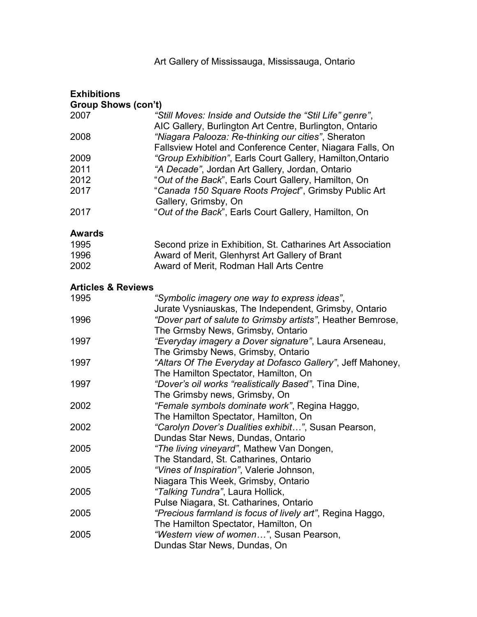| <b>Exhibitions</b>            |                                                                                                                     |  |
|-------------------------------|---------------------------------------------------------------------------------------------------------------------|--|
| <b>Group Shows (con't)</b>    |                                                                                                                     |  |
| 2007                          | "Still Moves: Inside and Outside the "Stil Life" genre",<br>AIC Gallery, Burlington Art Centre, Burlington, Ontario |  |
| 2008                          | "Niagara Palooza: Re-thinking our cities", Sheraton<br>Fallsview Hotel and Conference Center, Niagara Falls, On     |  |
| 2009                          | "Group Exhibition", Earls Court Gallery, Hamilton, Ontario                                                          |  |
| 2011                          | "A Decade", Jordan Art Gallery, Jordan, Ontario                                                                     |  |
| 2012                          | "Out of the Back", Earls Court Gallery, Hamilton, On                                                                |  |
| 2017                          | "Canada 150 Square Roots Project", Grimsby Public Art<br>Gallery, Grimsby, On                                       |  |
| 2017                          | "Out of the Back", Earls Court Gallery, Hamilton, On                                                                |  |
| <b>Awards</b>                 |                                                                                                                     |  |
| 1995                          | Second prize in Exhibition, St. Catharines Art Association                                                          |  |
| 1996                          | Award of Merit, Glenhyrst Art Gallery of Brant                                                                      |  |
| 2002                          | Award of Merit, Rodman Hall Arts Centre                                                                             |  |
| <b>Articles &amp; Reviews</b> |                                                                                                                     |  |
| 1995                          | "Symbolic imagery one way to express ideas",                                                                        |  |
|                               | Jurate Vysniauskas, The Independent, Grimsby, Ontario                                                               |  |
| 1996                          | "Dover part of salute to Grimsby artists", Heather Bemrose,                                                         |  |
|                               | The Grmsby News, Grimsby, Ontario                                                                                   |  |
| 1997                          | "Everyday imagery a Dover signature", Laura Arseneau,                                                               |  |
|                               | The Grimsby News, Grimsby, Ontario                                                                                  |  |
| 1997                          | "Altars Of The Everyday at Dofasco Gallery", Jeff Mahoney,                                                          |  |
|                               | The Hamilton Spectator, Hamilton, On                                                                                |  |
| 1997                          | "Dover's oil works "realistically Based", Tina Dine,                                                                |  |
|                               | The Grimsby news, Grimsby, On                                                                                       |  |
| 2002                          | "Female symbols dominate work", Regina Haggo,                                                                       |  |
|                               | The Hamilton Spectator, Hamilton, On                                                                                |  |
| 2002                          | "Carolyn Dover's Dualities exhibit", Susan Pearson,                                                                 |  |
|                               | Dundas Star News, Dundas, Ontario                                                                                   |  |
| 2005                          | "The living vineyard", Mathew Van Dongen,                                                                           |  |
|                               | The Standard, St. Catharines, Ontario                                                                               |  |
| 2005                          | "Vines of Inspiration", Valerie Johnson,                                                                            |  |
|                               | Niagara This Week, Grimsby, Ontario                                                                                 |  |
| 2005                          | "Talking Tundra", Laura Hollick,                                                                                    |  |
|                               |                                                                                                                     |  |
|                               | Pulse Niagara, St. Catharines, Ontario                                                                              |  |
| 2005                          | "Precious farmland is focus of lively art", Regina Haggo,                                                           |  |
|                               | The Hamilton Spectator, Hamilton, On                                                                                |  |
| 2005                          | "Western view of women", Susan Pearson,                                                                             |  |
|                               | Dundas Star News, Dundas, On                                                                                        |  |